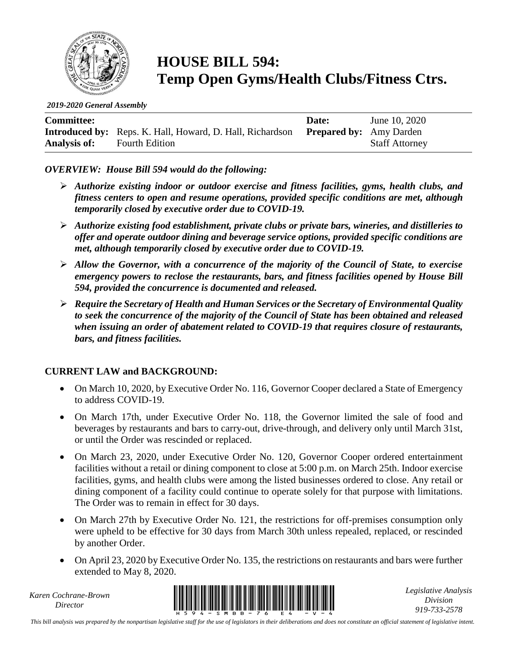

# **HOUSE BILL 594: Temp Open Gyms/Health Clubs/Fitness Ctrs.**

*2019-2020 General Assembly*

| <b>Committee:</b>   |                                                                                          | Date: | June 10, 2020         |
|---------------------|------------------------------------------------------------------------------------------|-------|-----------------------|
|                     | <b>Introduced by:</b> Reps. K. Hall, Howard, D. Hall, Richardson Prepared by: Amy Darden |       |                       |
| <b>Analysis of:</b> | <b>Fourth Edition</b>                                                                    |       | <b>Staff Attorney</b> |

#### *OVERVIEW: House Bill 594 would do the following:*

- ➢ *Authorize existing indoor or outdoor exercise and fitness facilities, gyms, health clubs, and fitness centers to open and resume operations, provided specific conditions are met, although temporarily closed by executive order due to COVID-19.*
- ➢ *Authorize existing food establishment, private clubs or private bars, wineries, and distilleries to offer and operate outdoor dining and beverage service options, provided specific conditions are met, although temporarily closed by executive order due to COVID-19.*
- ➢ *Allow the Governor, with a concurrence of the majority of the Council of State, to exercise emergency powers to reclose the restaurants, bars, and fitness facilities opened by House Bill 594, provided the concurrence is documented and released.*
- ➢ *Require the Secretary of Health and Human Services or the Secretary of Environmental Quality to seek the concurrence of the majority of the Council of State has been obtained and released when issuing an order of abatement related to COVID-19 that requires closure of restaurants, bars, and fitness facilities.*

#### **CURRENT LAW and BACKGROUND:**

- On March 10, 2020, by Executive Order No. 116, Governor Cooper declared a State of Emergency to address COVID-19.
- On March 17th, under Executive Order No. 118, the Governor limited the sale of food and beverages by restaurants and bars to carry-out, drive-through, and delivery only until March 31st, or until the Order was rescinded or replaced.
- On March 23, 2020, under Executive Order No. 120, Governor Cooper ordered entertainment facilities without a retail or dining component to close at 5:00 p.m. on March 25th. Indoor exercise facilities, gyms, and health clubs were among the listed businesses ordered to close. Any retail or dining component of a facility could continue to operate solely for that purpose with limitations. The Order was to remain in effect for 30 days.
- On March 27th by Executive Order No. 121, the restrictions for off-premises consumption only were upheld to be effective for 30 days from March 30th unless repealed, replaced, or rescinded by another Order.
- On April 23, 2020 by Executive Order No. 135, the restrictions on restaurants and bars were further extended to May 8, 2020.

*Karen Cochrane-Brown*



*Legislative Analysis Division 919-733-2578*

*This bill analysis was prepared by the nonpartisan legislative staff for the use of legislators in their deliberations and does not constitute an official statement of legislative intent.*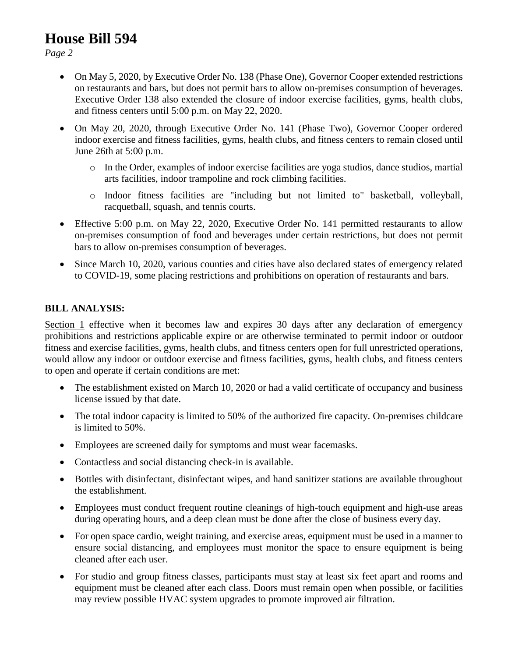## **House Bill 594**

*Page 2*

- On May 5, 2020, by Executive Order No. 138 (Phase One), Governor Cooper extended restrictions on restaurants and bars, but does not permit bars to allow on-premises consumption of beverages. Executive Order 138 also extended the closure of indoor exercise facilities, gyms, health clubs, and fitness centers until 5:00 p.m. on May 22, 2020.
- On May 20, 2020, through Executive Order No. 141 (Phase Two), Governor Cooper ordered indoor exercise and fitness facilities, gyms, health clubs, and fitness centers to remain closed until June 26th at 5:00 p.m.
	- o In the Order, examples of indoor exercise facilities are yoga studios, dance studios, martial arts facilities, indoor trampoline and rock climbing facilities.
	- o Indoor fitness facilities are "including but not limited to" basketball, volleyball, racquetball, squash, and tennis courts.
- Effective 5:00 p.m. on May 22, 2020, Executive Order No. 141 permitted restaurants to allow on-premises consumption of food and beverages under certain restrictions, but does not permit bars to allow on-premises consumption of beverages.
- Since March 10, 2020, various counties and cities have also declared states of emergency related to COVID-19, some placing restrictions and prohibitions on operation of restaurants and bars.

### **BILL ANALYSIS:**

Section 1 effective when it becomes law and expires 30 days after any declaration of emergency prohibitions and restrictions applicable expire or are otherwise terminated to permit indoor or outdoor fitness and exercise facilities, gyms, health clubs, and fitness centers open for full unrestricted operations, would allow any indoor or outdoor exercise and fitness facilities, gyms, health clubs, and fitness centers to open and operate if certain conditions are met:

- The establishment existed on March 10, 2020 or had a valid certificate of occupancy and business license issued by that date.
- The total indoor capacity is limited to 50% of the authorized fire capacity. On-premises childcare is limited to 50%.
- Employees are screened daily for symptoms and must wear facemasks.
- Contactless and social distancing check-in is available.
- Bottles with disinfectant, disinfectant wipes, and hand sanitizer stations are available throughout the establishment.
- Employees must conduct frequent routine cleanings of high-touch equipment and high-use areas during operating hours, and a deep clean must be done after the close of business every day.
- For open space cardio, weight training, and exercise areas, equipment must be used in a manner to ensure social distancing, and employees must monitor the space to ensure equipment is being cleaned after each user.
- For studio and group fitness classes, participants must stay at least six feet apart and rooms and equipment must be cleaned after each class. Doors must remain open when possible, or facilities may review possible HVAC system upgrades to promote improved air filtration.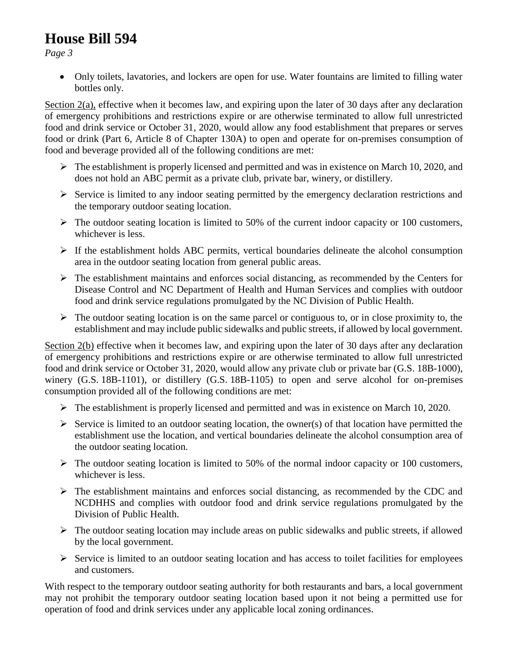# **House Bill 594**

*Page 3*

• Only toilets, lavatories, and lockers are open for use. Water fountains are limited to filling water bottles only.

Section 2(a), effective when it becomes law, and expiring upon the later of 30 days after any declaration of emergency prohibitions and restrictions expire or are otherwise terminated to allow full unrestricted food and drink service or October 31, 2020, would allow any food establishment that prepares or serves food or drink (Part 6, Article 8 of Chapter 130A) to open and operate for on-premises consumption of food and beverage provided all of the following conditions are met:

- $\triangleright$  The establishment is properly licensed and permitted and was in existence on March 10, 2020, and does not hold an ABC permit as a private club, private bar, winery, or distillery.
- ➢ Service is limited to any indoor seating permitted by the emergency declaration restrictions and the temporary outdoor seating location.
- $\triangleright$  The outdoor seating location is limited to 50% of the current indoor capacity or 100 customers, whichever is less.
- $\triangleright$  If the establishment holds ABC permits, vertical boundaries delineate the alcohol consumption area in the outdoor seating location from general public areas.
- ➢ The establishment maintains and enforces social distancing, as recommended by the Centers for Disease Control and NC Department of Health and Human Services and complies with outdoor food and drink service regulations promulgated by the NC Division of Public Health.
- $\triangleright$  The outdoor seating location is on the same parcel or contiguous to, or in close proximity to, the establishment and may include public sidewalks and public streets, if allowed by local government.

Section 2(b) effective when it becomes law, and expiring upon the later of 30 days after any declaration of emergency prohibitions and restrictions expire or are otherwise terminated to allow full unrestricted food and drink service or October 31, 2020, would allow any private club or private bar (G.S. 18B-1000), winery (G.S. 18B-1101), or distillery (G.S. 18B-1105) to open and serve alcohol for on-premises consumption provided all of the following conditions are met:

- $\triangleright$  The establishment is properly licensed and permitted and was in existence on March 10, 2020.
- $\triangleright$  Service is limited to an outdoor seating location, the owner(s) of that location have permitted the establishment use the location, and vertical boundaries delineate the alcohol consumption area of the outdoor seating location.
- $\triangleright$  The outdoor seating location is limited to 50% of the normal indoor capacity or 100 customers, whichever is less.
- $\triangleright$  The establishment maintains and enforces social distancing, as recommended by the CDC and NCDHHS and complies with outdoor food and drink service regulations promulgated by the Division of Public Health.
- $\triangleright$  The outdoor seating location may include areas on public sidewalks and public streets, if allowed by the local government.
- $\triangleright$  Service is limited to an outdoor seating location and has access to toilet facilities for employees and customers.

With respect to the temporary outdoor seating authority for both restaurants and bars, a local government may not prohibit the temporary outdoor seating location based upon it not being a permitted use for operation of food and drink services under any applicable local zoning ordinances.